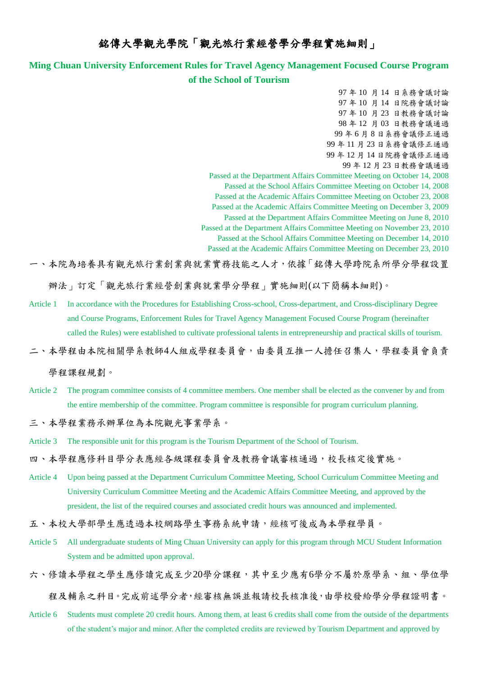## 銘傳大學觀光學院「觀光旅行業經營學分學程實施細則」

## **Ming Chuan University Enforcement Rules for Travel Agency Management Focused Course Program of the School of Tourism**

97 年 10 月 14 日系務會議討論 97 年 10 月 14 日院務會議討論 97 年 10 月 23 日教務會議討論 98 年 12 月 03 日教務會議通過 99 年 6 月 8 日系務會議修正通過 99 年 11 月 23 日系務會議修正通過 99 年 12 月 14 日院務會議修正通過 99 年 12 月 23 日教務會議通過 Passed at the Department Affairs Committee Meeting on October 14, 2008 Passed at the School Affairs Committee Meeting on October 14, 2008 Passed at the Academic Affairs Committee Meeting on October 23, 2008 Passed at the Academic Affairs Committee Meeting on December 3, 2009 Passed at the Department Affairs Committee Meeting on June 8, 2010 Passed at the Department Affairs Committee Meeting on November 23, 2010 Passed at the School Affairs Committee Meeting on December 14, 2010 Passed at the Academic Affairs Committee Meeting on December 23, 2010

一、本院為培養具有觀光旅行業創業與就業實務技能之人才,依據「銘傳大學跨院系所學分學程設置

辦法」訂定「觀光旅行業經營創業與就業學分學程」實施細則(以下簡稱本細則)。

- Article 1 In accordance with the Procedures for Establishing Cross-school, Cross-department, and Cross-disciplinary Degree and Course Programs, Enforcement Rules for Travel Agency Management Focused Course Program (hereinafter called the Rules) were established to cultivate professional talents in entrepreneurship and practical skills of tourism.
- 二、本學程由本院相關學系教師4人組成學程委員會,由委員互推一人擔任召集人,學程委員會負責

學程課程規劃。

Article 2 The program committee consists of 4 committee members. One member shall be elected as the convener by and from the entire membership of the committee. Program committee is responsible for program curriculum planning.

三、本學程業務承辦單位為本院觀光事業學系。

- Article 3 The responsible unit for this program is the Tourism Department of the School of Tourism.
- 四、本學程應修科目學分表應經各級課程委員會及教務會議審核通過,校長核定後實施。
- Article 4 Upon being passed at the Department Curriculum Committee Meeting, School Curriculum Committee Meeting and University Curriculum Committee Meeting and the Academic Affairs Committee Meeting, and approved by the president, the list of the required courses and associated credit hours was announced and implemented.
- 五、本校大學部學生應透過本校網路學生事務系統申請,經核可後成為本學程學員。
- Article 5 All undergraduate students of Ming Chuan University can apply for this program through MCU Student Information System and be admitted upon approval.
- 六、修讀本學程之學生應修讀完成至少20學分課程,其中至少應有6學分不屬於原學系、組、學位學

程及輔系之科目。完成前述學分者,經審核無誤並報請校長核准後,由學校發給學分學程證明書。

Article 6 Students must complete 20 credit hours. Among them, at least 6 credits shall come from the outside of the departments of the student's major and minor. After the completed credits are reviewed by Tourism Department and approved by